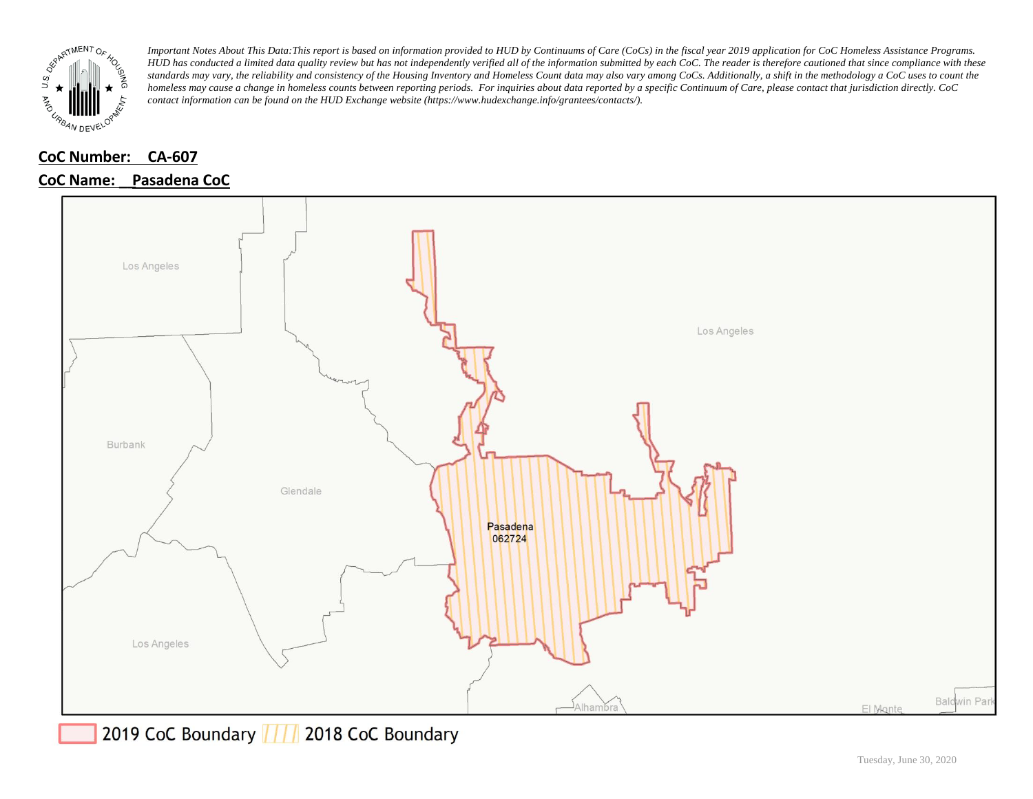

#### **CoC Number: CA-607**

#### **CoC Name: \_\_ Pasadena CoC**



2019 CoC Boundary | | | 2018 CoC Boundary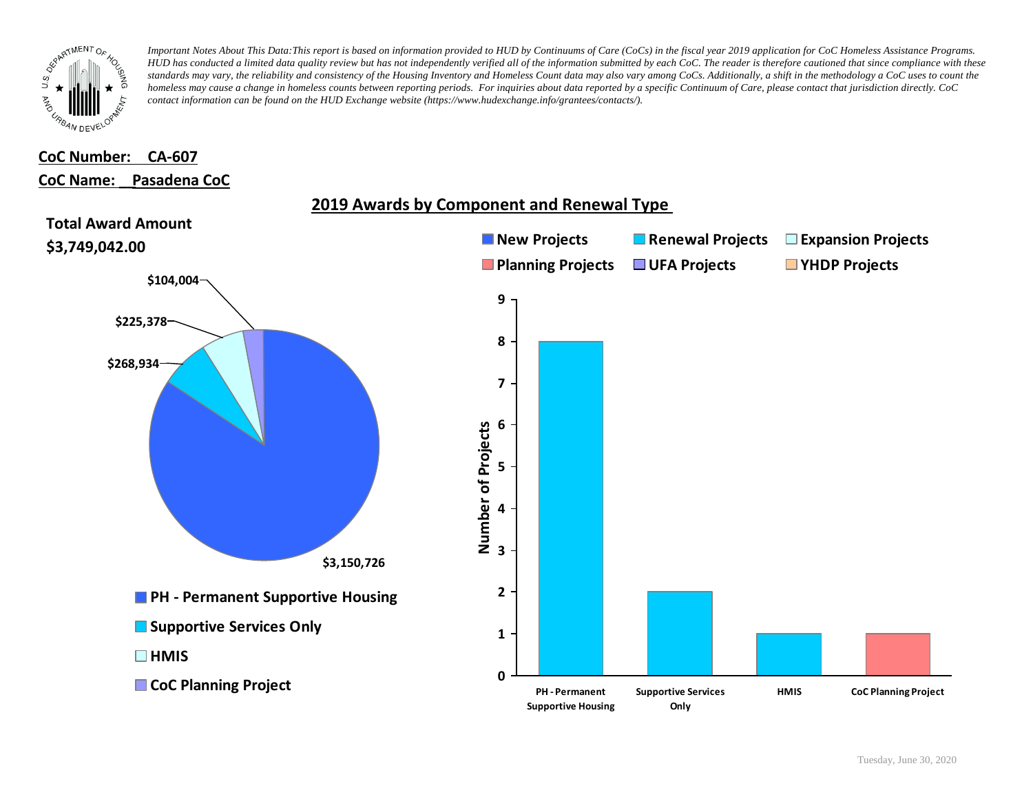

### **CoC Number: CA-607 CoC Name: \_\_ Pasadena CoC**

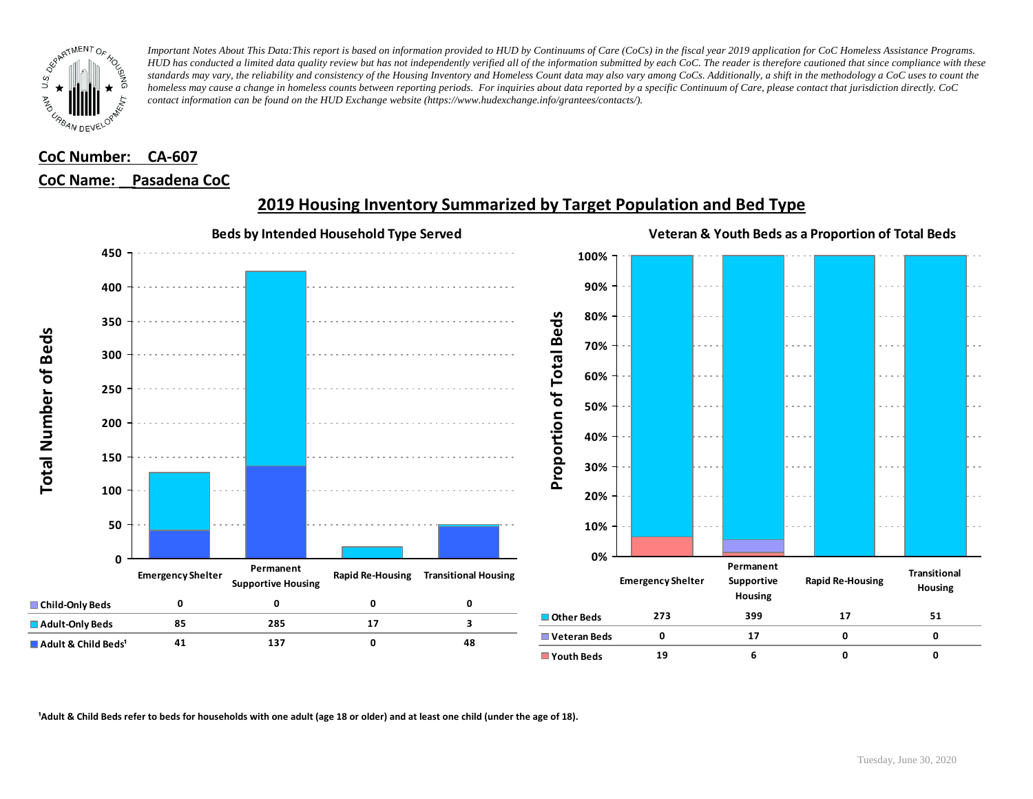

### **CoC Number: CA-607 CoC Name: \_\_ Pasadena CoC**



# **2019 Housing Inventory Summarized by Target Population and Bed Type**

<sup>1</sup> Adult & Child Beds refer to beds for households with one adult (age 18 or older) and at least one child (under the age of 18).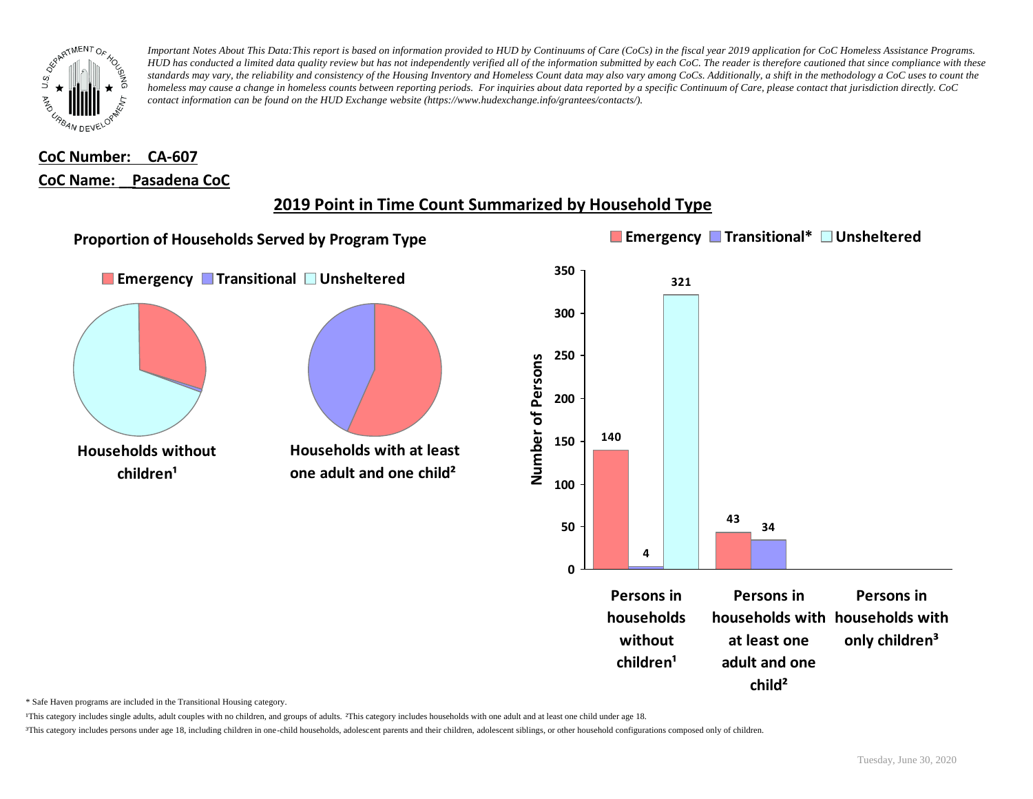

### **CoC Number: CA-607 CoC Name: \_\_ Pasadena CoC**

# **2019 Point in Time Count Summarized by Household Type**



\* Safe Haven programs are included in the Transitional Housing category.

¹This category includes single adults, adult couples with no children, and groups of adults. ²This category includes households with one adult and at least one child under age 18.

³This category includes persons under age 18, including children in one-child households, adolescent parents and their children, adolescent siblings, or other household configurations composed only of children.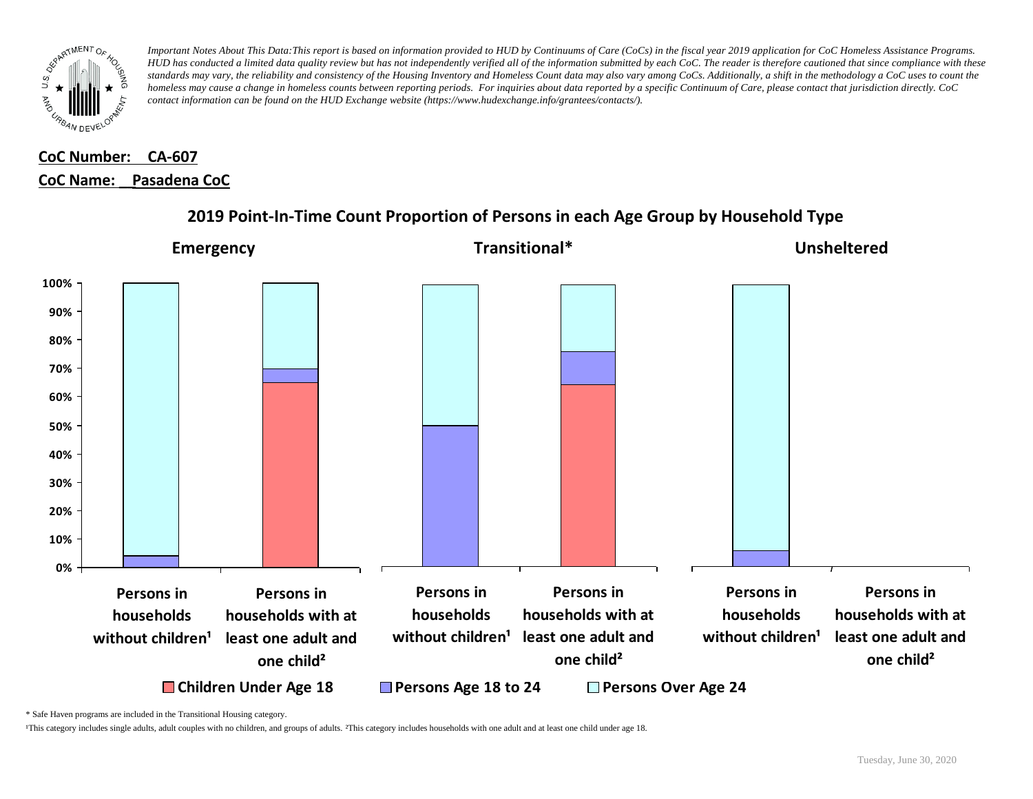

# **CoC Number: CA-607 CoC Name: \_\_ Pasadena CoC**



### **2019 Point-In-Time Count Proportion of Persons in each Age Group by Household Type**

\* Safe Haven programs are included in the Transitional Housing category.

¹This category includes single adults, adult couples with no children, and groups of adults. ²This category includes households with one adult and at least one child under age 18.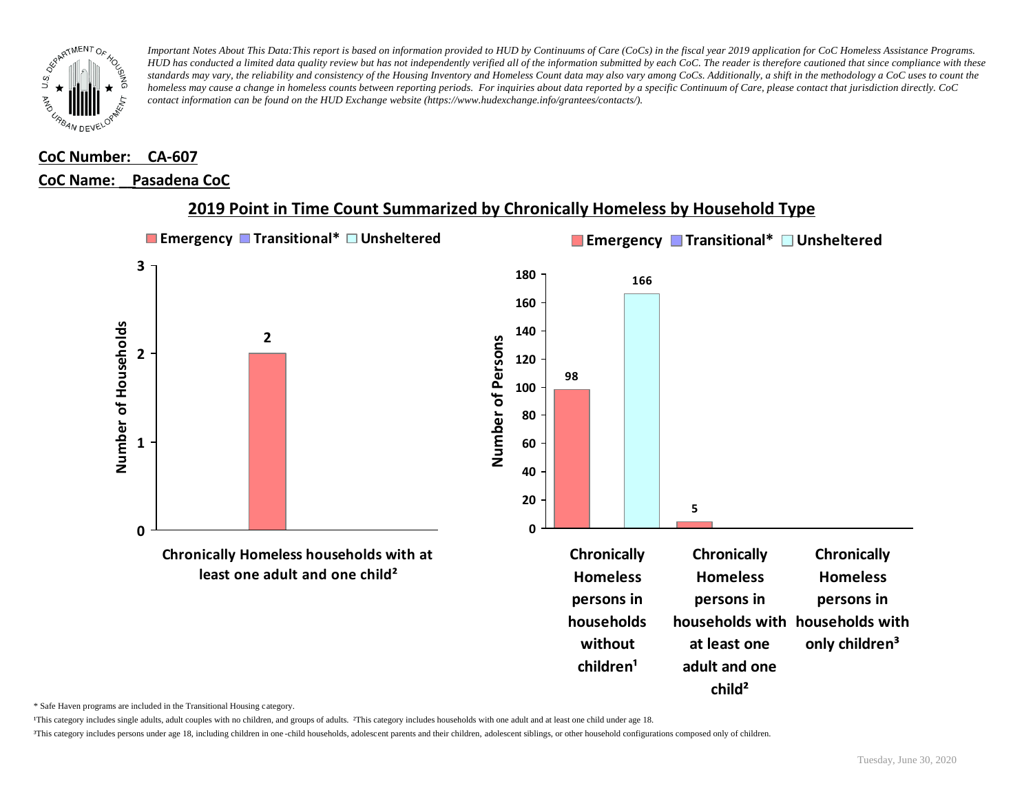

# **CoC Number: CA-607**

### **CoC Name: \_\_ Pasadena CoC**



#### **2019 Point in Time Count Summarized by Chronically Homeless by Household Type**

\* Safe Haven programs are included in the Transitional Housing category.

¹This category includes single adults, adult couples with no children, and groups of adults. ²This category includes households with one adult and at least one child under age 18.

³This category includes persons under age 18, including children in one -child households, adolescent parents and their children, adolescent siblings, or other household configurations composed only of children.